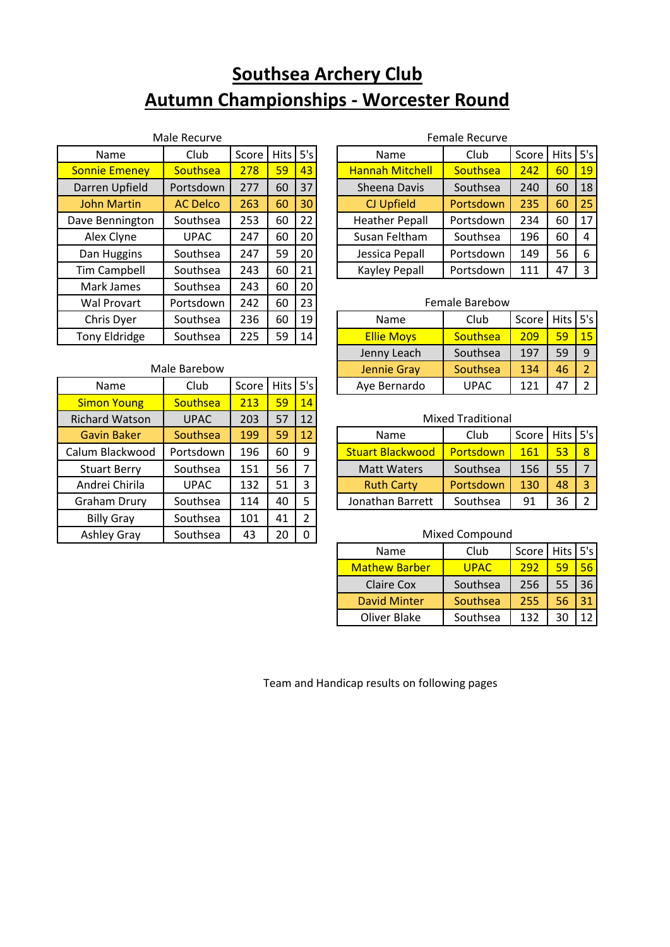# **Southsea Archery Club Autumn Championships - Worcester Round**

| Male Recurve         |                 |       |             |     |  |  |
|----------------------|-----------------|-------|-------------|-----|--|--|
| Name                 | Club            | Score | <b>Hits</b> | 5's |  |  |
| <b>Sonnie Emeney</b> | Southsea        | 278   | 59          | 43  |  |  |
| Darren Upfield       | Portsdown       | 277   | 60          | 37  |  |  |
| <b>John Martin</b>   | <b>AC Delco</b> | 263   | 60          | 30  |  |  |
| Dave Bennington      | Southsea        | 253   | 60          | 22  |  |  |
| Alex Clyne           | <b>UPAC</b>     | 247   | 60          | 20  |  |  |
| Dan Huggins          | Southsea        | 247   | 59          | 20  |  |  |
| <b>Tim Campbell</b>  | Southsea        | 243   | 60          | 21  |  |  |
| Mark James           | Southsea        | 243   | 60          | 20  |  |  |
| <b>Wal Provart</b>   | Portsdown       | 242   | 60          | 23  |  |  |
| Chris Dyer           | Southsea        | 236   | 60          | 19  |  |  |
| <b>Tony Eldridge</b> | Southsea        | 225   | 59          | 14  |  |  |

| Male Barebow          |             |       |             |                |  |  |  |
|-----------------------|-------------|-------|-------------|----------------|--|--|--|
| Name                  | Club        | Score | <b>Hits</b> | 5's            |  |  |  |
| <b>Simon Young</b>    | Southsea    | 213   | 59          | 14             |  |  |  |
| <b>Richard Watson</b> | <b>UPAC</b> | 203   | 57          | 12             |  |  |  |
| <b>Gavin Baker</b>    | Southsea    | 199   | 59          | 12             |  |  |  |
| Calum Blackwood       | Portsdown   | 196   | 60          | 9              |  |  |  |
| <b>Stuart Berry</b>   | Southsea    | 151   | 56          | 7              |  |  |  |
| Andrei Chirila        | <b>UPAC</b> | 132   | 51          | 3              |  |  |  |
| <b>Graham Drury</b>   | Southsea    | 114   | 40          | 5              |  |  |  |
| <b>Billy Gray</b>     | Southsea    | 101   | 41          | $\overline{2}$ |  |  |  |
| <b>Ashley Gray</b>    | Southsea    | 43    | 20          | ი              |  |  |  |

### Name | Club | Score | Hits | 5's | | Name | Club | Score | Hits | 5's Bonnie Emerican Channah Mitchell Southsea 242 60 19 Sheena Davis | Southsea | 240 | 60 | 18 John Martin | AC Delco | 263 | 60 | 30 | | | | | CJ Upfield | | Portsdown | 235 | 60 | 25 Heather Pepall Portsdown 234 60 17 Susan Feltham  $\left|$  Southsea 196 60 4 Jessica Pepall Portsdown | 149  $\mid$  56  $\mid$  6 Kayley Pepall Portsdown 111 47 3 Female Recurve

#### Female Barebow

| Chris Dyer    | Southsea     | 236     | 60         | 19 <sup>1</sup> | Name              | Club     | Score | Hits 5's |                 |
|---------------|--------------|---------|------------|-----------------|-------------------|----------|-------|----------|-----------------|
| Tony Eldridge | Southsea     | 225     | 59         | 14              | <b>Ellie Moys</b> | Southsea | 209   | 59       | 15 <sub>1</sub> |
|               |              |         |            |                 | Jenny Leach       | Southsea | 197   | 59       |                 |
|               | Male Barebow |         |            |                 | Jennie Gray       | Southsea | 134   | 46       |                 |
| Name          | Club         | Score I | Hits $5's$ |                 | Aye Bernardo      | UPAC     | 121   | 47       |                 |

| <b>UPAC</b> | 203 | 57 | 12 | <b>Mixed Traditional</b> |                  |       |              |              |
|-------------|-----|----|----|--------------------------|------------------|-------|--------------|--------------|
| Southsea    | 199 | 59 | 12 | Name                     | Club             | Score | Hits $ 5's $ |              |
| Portsdown   | 196 | 60 | 9  | <b>Stuart Blackwood</b>  | Portsdown        | 161   | 53           | $\mathbf{R}$ |
| Southsea    | 151 | 56 |    | <b>Matt Waters</b>       | Southsea         | 156   | 55           |              |
| <b>UPAC</b> | 132 | 51 |    | <b>Ruth Carty</b>        | <b>Portsdown</b> | 130   | 48           |              |
| Southsea    | 114 | 40 | 5  | Jonathan Barrett         | Southsea         | 91    | 36           |              |
|             |     |    |    |                          |                  |       |              |              |

#### Mixed Compound

| Name                 | Club        | Score   Hits   5's |    |  |
|----------------------|-------------|--------------------|----|--|
| <b>Mathew Barber</b> | <b>UPAC</b> | 292                | 59 |  |
| <b>Claire Cox</b>    | Southsea    | 256                | 55 |  |
| <b>David Minter</b>  | Southsea    | 255                | 56 |  |
| Oliver Blake         | Southsea    | 132                |    |  |

Team and Handicap results on following pages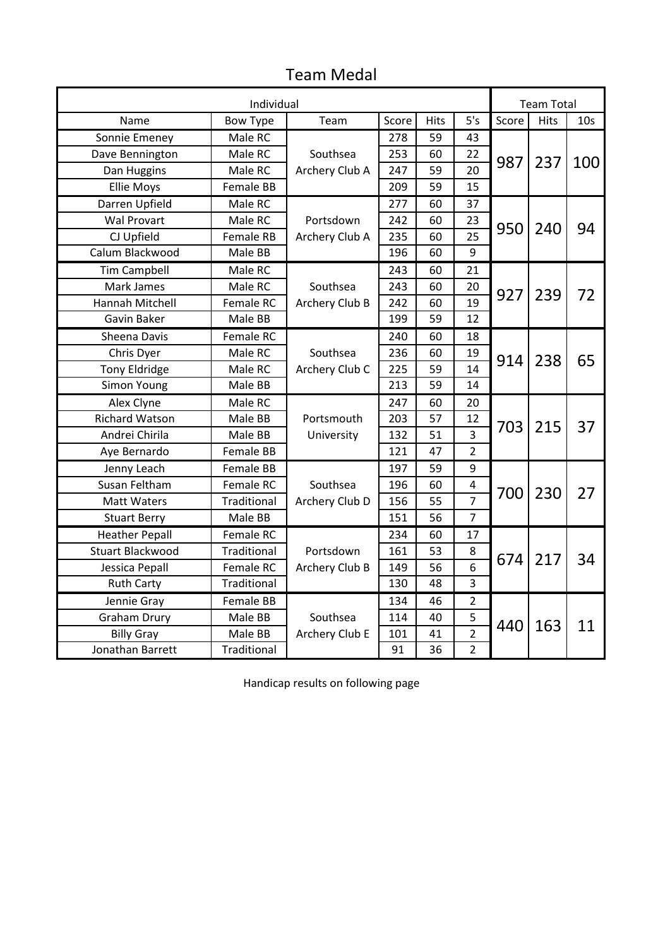|                       | <b>Team Total</b> |                             |       |             |                |       |             |                 |
|-----------------------|-------------------|-----------------------------|-------|-------------|----------------|-------|-------------|-----------------|
| Name                  | <b>Bow Type</b>   | Team                        | Score | <b>Hits</b> | 5's            | Score | <b>Hits</b> | 10 <sub>s</sub> |
| Sonnie Emeney         | Male RC           |                             | 278   | 59          | 43             |       |             |                 |
| Dave Bennington       | Male RC           | Southsea<br>253<br>60<br>22 |       |             |                |       |             |                 |
| Dan Huggins           | Male RC           | Archery Club A              | 247   | 59          | 20             | 987   | 237         | 100             |
| <b>Ellie Moys</b>     | <b>Female BB</b>  |                             | 209   | 59          | 15             |       |             |                 |
| Darren Upfield        | Male RC           |                             | 277   | 60          | 37             |       |             |                 |
| <b>Wal Provart</b>    | Male RC           | Portsdown                   | 242   | 60          | 23             | 950   |             |                 |
| CJ Upfield            | Female RB         | Archery Club A              | 235   | 60          | 25             |       | 240         | 94              |
| Calum Blackwood       | Male BB           |                             | 196   | 60          | 9              |       |             |                 |
| <b>Tim Campbell</b>   | Male RC           |                             | 243   | 60          | 21             |       |             |                 |
| Mark James            | Male RC           | Southsea                    | 243   | 60          | 20             |       |             |                 |
| Hannah Mitchell       | Female RC         | Archery Club B              | 242   | 60          | 19             | 927   | 239         | 72              |
| Gavin Baker           | Male BB           |                             | 199   | 59          | 12             |       |             |                 |
| Sheena Davis          | Female RC         |                             | 240   | 60          | 18             |       |             |                 |
| Chris Dyer            | Male RC           | Southsea                    | 236   | 60          | 19             | 914   | 238         | 65              |
| <b>Tony Eldridge</b>  | Male RC           | Archery Club C              | 225   | 59          | 14             |       |             |                 |
| Simon Young           | Male BB           |                             | 213   | 59          | 14             |       |             |                 |
| Alex Clyne            | Male RC           |                             | 247   | 60          | 20             |       |             |                 |
| <b>Richard Watson</b> | Male BB           | Portsmouth                  | 203   | 57          | 12             |       | 215         | 37              |
| Andrei Chirila        | Male BB           | University                  | 132   | 51          | 3              | 703   |             |                 |
| Aye Bernardo          | Female BB         | $\overline{2}$<br>121<br>47 |       |             |                |       |             |                 |
| Jenny Leach           | Female BB         |                             | 197   | 59          | 9              |       |             |                 |
| Susan Feltham         | Female RC         | Southsea                    | 196   | 60          | 4              | 700   | 230         | 27              |
| <b>Matt Waters</b>    | Traditional       | Archery Club D              | 156   | 55          | $\overline{7}$ |       |             |                 |
| <b>Stuart Berry</b>   | Male BB           |                             | 151   | 56          | 7              |       |             |                 |
| <b>Heather Pepall</b> | Female RC         |                             | 234   | 60          | 17             |       |             |                 |
| Stuart Blackwood      | Traditional       | Portsdown                   | 161   | 53          | 8              | 674   | 217         | 34              |
| Jessica Pepall        | Female RC         | Archery Club B              | 149   | 56          | 6              |       |             |                 |
| <b>Ruth Carty</b>     | Traditional       |                             | 130   | 48          | 3              |       |             |                 |
| Jennie Gray           | Female BB         |                             | 134   | 46          | 2              |       |             |                 |
| <b>Graham Drury</b>   | Male BB           | Southsea                    | 114   | 40          | 5              | 440   | 163         | 11              |
| <b>Billy Gray</b>     | Male BB           | Archery Club E              | 101   | 41          | $\overline{2}$ |       |             |                 |
| Jonathan Barrett      | Traditional       |                             | 91    | 36          | $\overline{2}$ |       |             |                 |

## Team Medal

Handicap results on following page